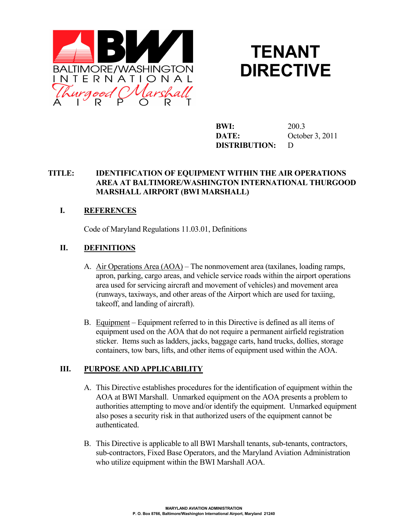



**BWI:** 200.3 **DATE:** October 3, 2011 **DISTRIBUTION:** D

### **TITLE: IDENTIFICATION OF EQUIPMENT WITHIN THE AIR OPERATIONS AREA AT BALTIMORE/WASHINGTON INTERNATIONAL THURGOOD MARSHALL AIRPORT (BWI MARSHALL)**

# **I. REFERENCES**

Code of Maryland Regulations 11.03.01, Definitions

### **II. DEFINITIONS**

- A. Air Operations Area (AOA) The nonmovement area (taxilanes, loading ramps, apron, parking, cargo areas, and vehicle service roads within the airport operations area used for servicing aircraft and movement of vehicles) and movement area (runways, taxiways, and other areas of the Airport which are used for taxiing, takeoff, and landing of aircraft).
- B. Equipment Equipment referred to in this Directive is defined as all items of equipment used on the AOA that do not require a permanent airfield registration sticker. Items such as ladders, jacks, baggage carts, hand trucks, dollies, storage containers, tow bars, lifts, and other items of equipment used within the AOA.

#### **III. PURPOSE AND APPLICABILITY**

- A. This Directive establishes procedures for the identification of equipment within the AOA at BWI Marshall. Unmarked equipment on the AOA presents a problem to authorities attempting to move and/or identify the equipment. Unmarked equipment also poses a security risk in that authorized users of the equipment cannot be authenticated.
- B. This Directive is applicable to all BWI Marshall tenants, sub-tenants, contractors, sub-contractors, Fixed Base Operators, and the Maryland Aviation Administration who utilize equipment within the BWI Marshall AOA.